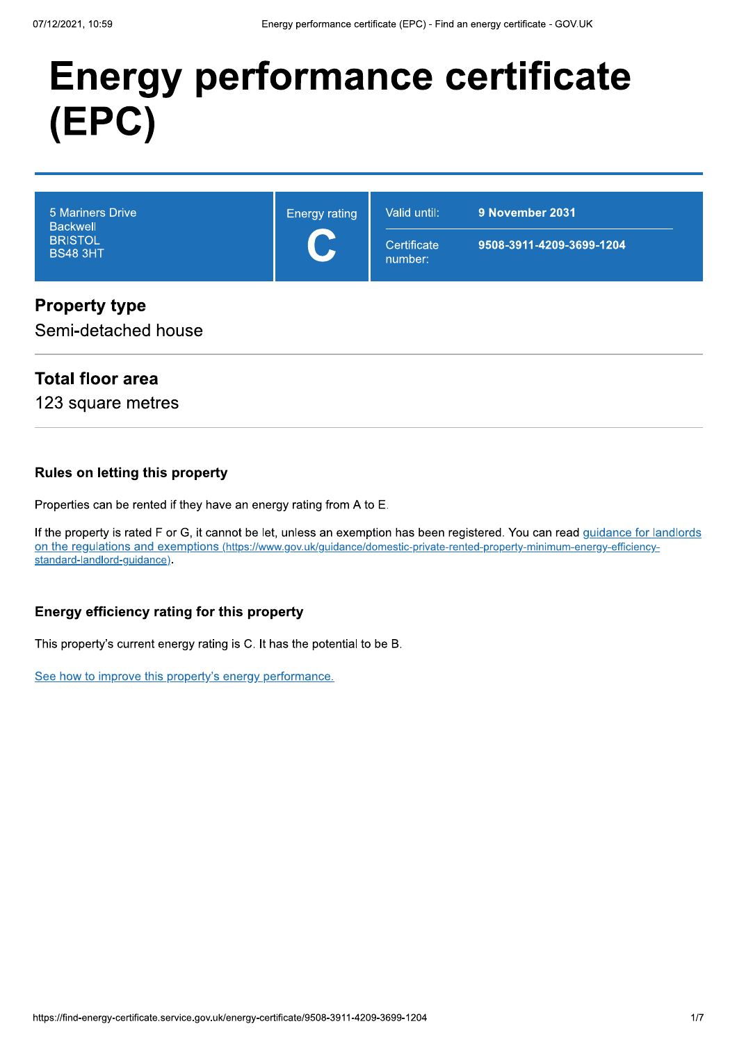# **Energy performance certificate** (EPC)

| 5 Mariners Drive<br><b>Backwell</b><br><b>BRISTOL</b><br><b>BS48 3HT</b> | <b>Energy rating</b><br>$\blacksquare$ | Valid until:<br>9 November 2031 |                          |
|--------------------------------------------------------------------------|----------------------------------------|---------------------------------|--------------------------|
|                                                                          |                                        | Certificate<br>number:          | 9508-3911-4209-3699-1204 |

#### **Property type**

Semi-detached house

#### **Total floor area**

123 square metres

#### **Rules on letting this property**

Properties can be rented if they have an energy rating from A to E.

If the property is rated F or G, it cannot be let, unless an exemption has been registered. You can read guidance for landlords on the regulations and exemptions (https://www.gov.uk/guidance/domestic-private-rented-property-minimum-energy-efficiencystandard-landlord-guidance).

#### Energy efficiency rating for this property

This property's current energy rating is C. It has the potential to be B.

See how to improve this property's energy performance.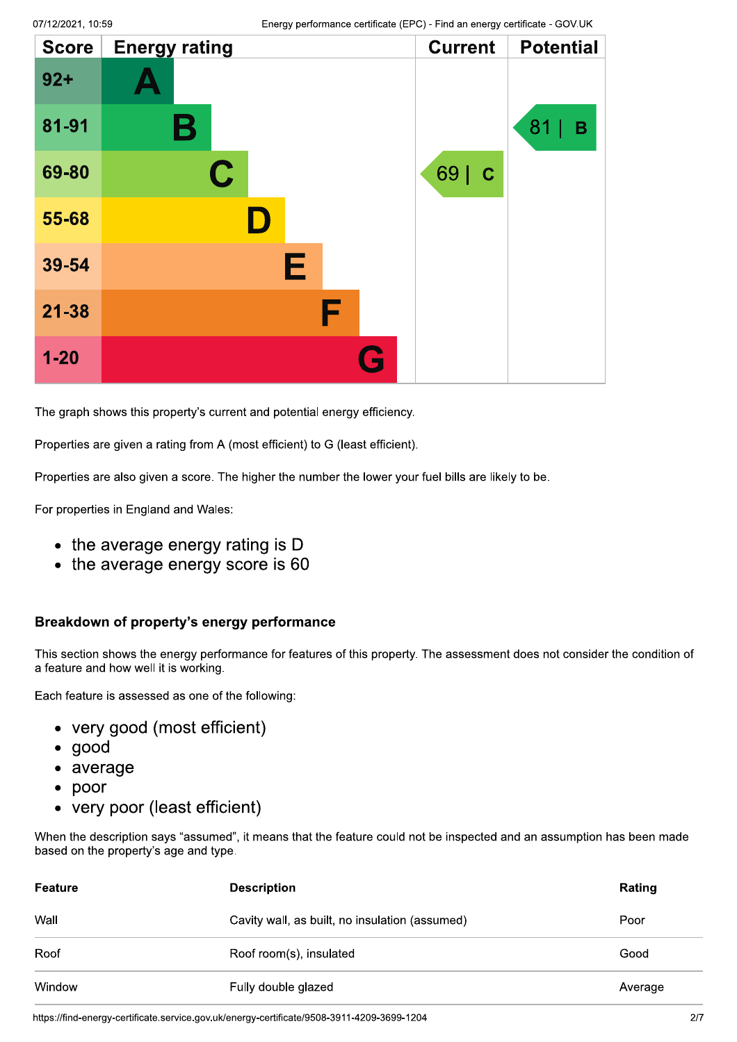| <b>Score</b> | <b>Energy rating</b> | <b>Current</b>      | <b>Potential</b> |
|--------------|----------------------|---------------------|------------------|
| $92 +$       |                      |                     |                  |
| 81-91        | Β                    |                     | 81<br>B          |
| 69-80        | $\mathbf C$          | 69  <br>$\mathbf C$ |                  |
| 55-68        | Ш                    |                     |                  |
| 39-54        | Е                    |                     |                  |
| $21 - 38$    | F                    |                     |                  |
| $1 - 20$     |                      |                     |                  |

The graph shows this property's current and potential energy efficiency.

Properties are given a rating from A (most efficient) to G (least efficient).

Properties are also given a score. The higher the number the lower your fuel bills are likely to be.

For properties in England and Wales:

- the average energy rating is D
- $\bullet$  the average energy score is 60

#### Breakdown of property's energy performance

This section shows the energy performance for features of this property. The assessment does not consider the condition of a feature and how well it is working.

Each feature is assessed as one of the following:

- very good (most efficient)
- $\bullet$  good
- average
- $\bullet$  poor
- very poor (least efficient)

When the description says "assumed", it means that the feature could not be inspected and an assumption has been made based on the property's age and type.

| Feature | <b>Description</b>                             | Rating  |
|---------|------------------------------------------------|---------|
| Wall    | Cavity wall, as built, no insulation (assumed) | Poor    |
| Roof    | Roof room(s), insulated                        | Good    |
| Window  | Fully double glazed                            | Average |

https://find-energy-certificate.service.gov.uk/energy-certificate/9508-3911-4209-3699-1204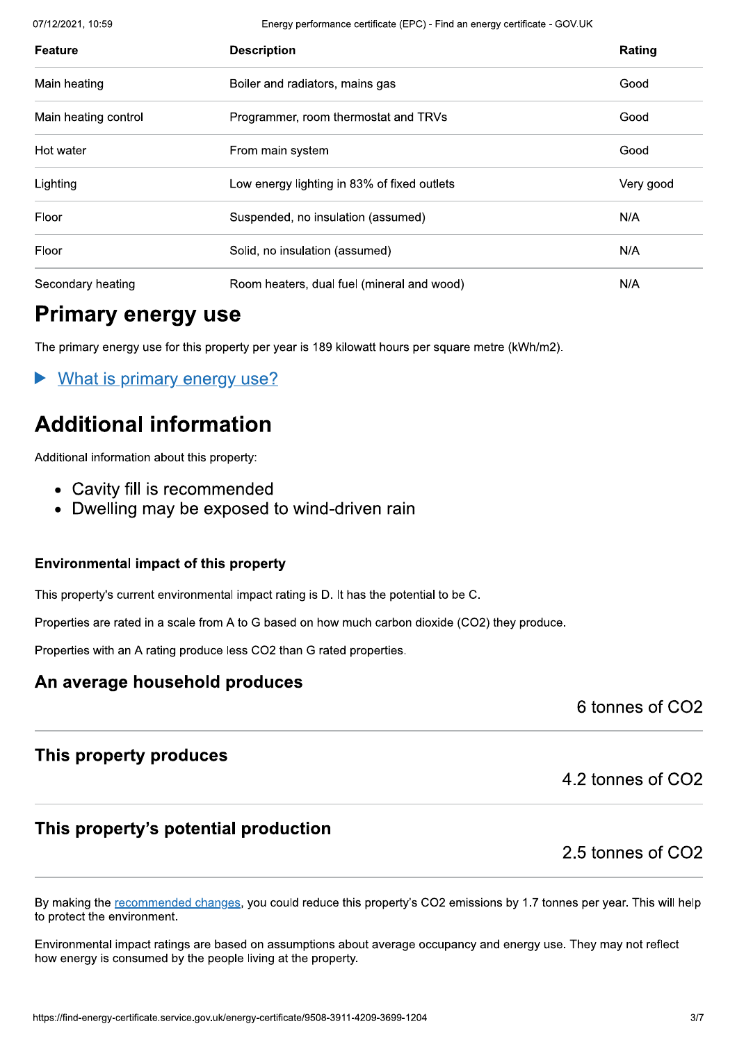07/12/2021.10:59 Er

nergy performance certificate (EPC) - Find an energy certificate - GOV.UK

| Feature              | <b>Description</b>                          | Rating    |
|----------------------|---------------------------------------------|-----------|
| Main heating         | Boiler and radiators, mains gas             | Good      |
| Main heating control | Programmer, room thermostat and TRVs        | Good      |
| Hot water            | From main system                            | Good      |
| Lighting             | Low energy lighting in 83% of fixed outlets | Very good |
| Floor                | Suspended, no insulation (assumed)          | N/A       |
| Floor                | Solid, no insulation (assumed)              | N/A       |
| Secondary heating    | Room heaters, dual fuel (mineral and wood)  | N/A       |

### Primary energy use

The primary energy use for this property per year is 189 kilowatt hours per square metre (kWh/m2). The primary energy use for this property per year is 189 kilowatt hours per square metre (kWh/m2).<br>
• Mhat is. primary\_energy\_use?<br>
• Cavity fill is recommented<br>
• Dwelling may be exposed to wind-driven rain<br>
Environmental

What is primary energy use?

# **Additional information**

- 
- 

#### This property produces

4.2 tonnes of CO2

#### This property's potential production

2.5 tonnes of CO<sub>2</sub>

This property's potential production<br>By making the <u>recommended changes</u>, you could reduce this property's CO2 emissions by 1.7 tonnes per year. This will help<br>to protect the environment.<br>Environmental impact ratings are b 2.5 tonnes of CC<br>By making the <u>recommended changes</u>, you could reduce this property's CO2 emissions by 1.7 tonnes per year. This will he<br>to protect the environment.<br>Environmental impact ratings are based on assumptions ab

onmental impact ratings are based on assum<br>energy is consumed by the people living at the<br>find-energy-certificate.service.gov.uk/energy-certificate/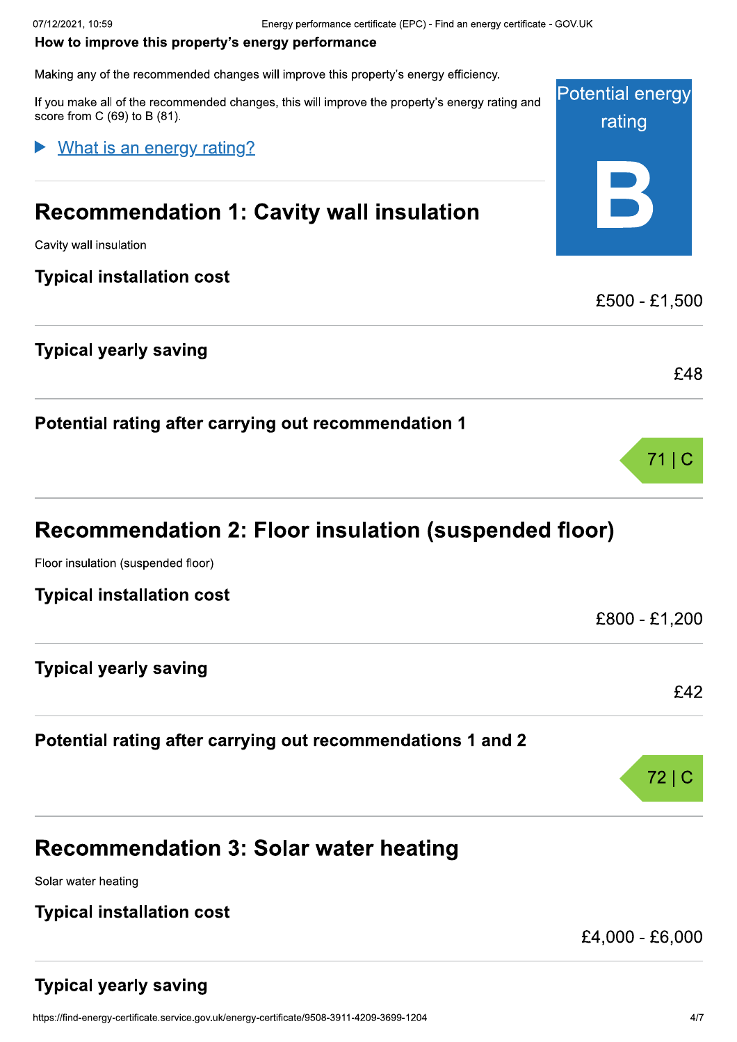**Potential energy** Energy performance certificate (EPC) - Find an energy certificate - COVUK<br>
How to improve this property's energy performance<br>
Making any of the recommended changes will improve this property's energy efficiency.<br>
If you ma

What is an energy rating?

Potential rating after carrying out recommendation 1

# Recommendation 2: Floor insulation (suspended floor)

Floor insulation (suspended floor)

| <b>Typical installation cost</b> |               |
|----------------------------------|---------------|
|                                  | £800 - £1,200 |
| <b>Typical yearly saving</b>     |               |
|                                  | £42           |
|                                  | _____         |

#### Potential rating after carrying out recommendations 1 and 2

| <b>Recommendation 3: Solar water heating</b> |  |
|----------------------------------------------|--|

Solar water heating

#### **Typical installation cost**

 $£4,000 - £6,000$ 

72 | 0

rating

 $\overline{\mathbf{B}}$ 

 $71|C$ 

# ical yearly saving<br>find-energy-certificate.service.gov.uk/energy-certificate/ Typical yearly saving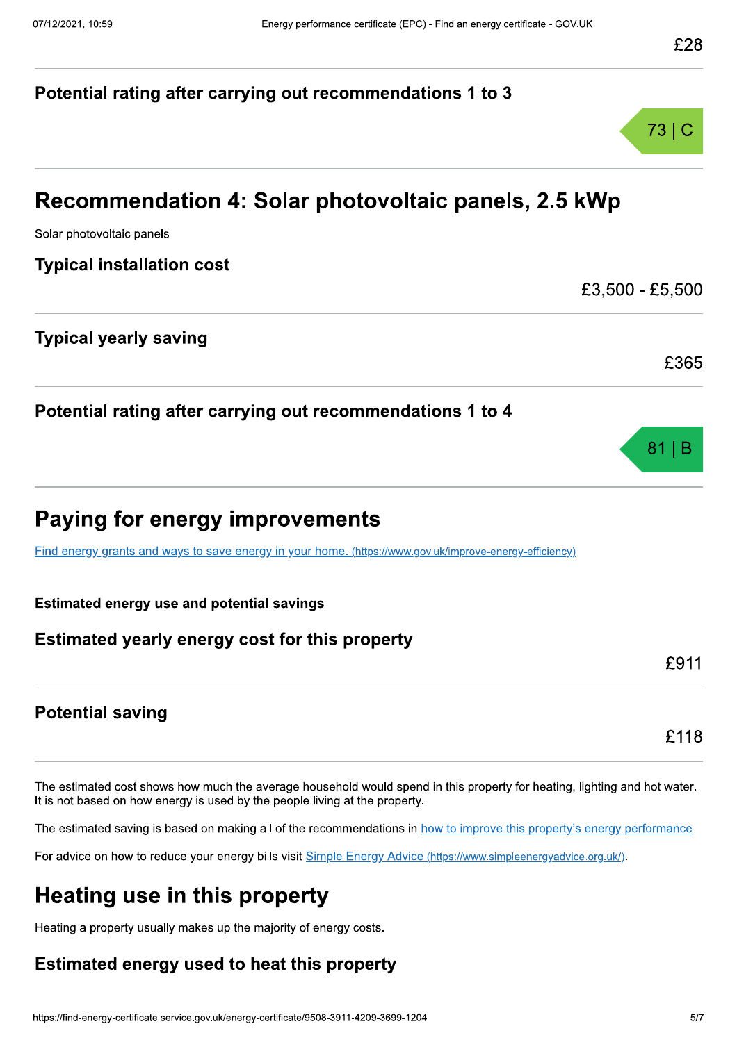# Potential rating after carrying out recommendations 1 to 3 73 | C Recommendation 4: Solar photovoltaic panels, 2.5 kWp Experiment Comment Catalon 1: Solar photovoltaic panels, 2.5 kWp<br>
Solar photovoltaic panels<br>
Typical installation cost<br>
E3,500 - £5,500<br>
Typical yearly saving<br>
E365 Potential rating after carrying out recommendations 1 to 4  $81$  | B Paying for energy improvements<br>
Find energy grants and ways to save energy in your home. (https://w<br>Estimated energy use and potential savings<br>Estimated yearly energy cost for this prope Find energy grants and ways to save energy in your home. (https://www.gov.uk/improve-energy-efficiency) ments<br>nome. <u>(https://www.gov.uk/improve-energy-e</u>r<br>s<br>nis property Paying for energy improvements<br>
Find energy grants and ways to save energy in your home. (https://www.gov.uk/improve-energy-efficiency)<br>
Estimated energy use and potential savings<br>
Estimated yearly energy cost for this pro **Potential saving Potential saving**<br>The estimated cost shows how much the average household would spend in this property for heating, lighting and hot water.<br>The estimated saving is based on making all of the recommendations in <u>how to imp</u> The estimated cost shows how much the average household would s<br>It is not based on how energy is used by the people living at the prop<br>The estimated saving is based on making all of the recommendations<br>For advice on how to age household would spend in this property for<br>eople living at the property.<br>If the recommendations in <u>how to improve this</u><br>visit <u>Simple Energy Advice (https://www.simplee</u><br>**Derty**<br>ity of energy costs.<br>**It this property** is property for heating, lighting and hot was<br>
<u>improve this property's energy performa</u><br>
//www.simpleenergy<u>advice.org.uk/</u>).

/www.simpleenergyadvice.org.uk/).

# Heating use in this property

Heating a property usually makes up the majority of energy costs.

# ng a property usually makes up the majority c<br>**imated energy used to heat th**<br>find-energy-certificate.service.gov.uk/energy-certificate/ Estimated energy used to heat this property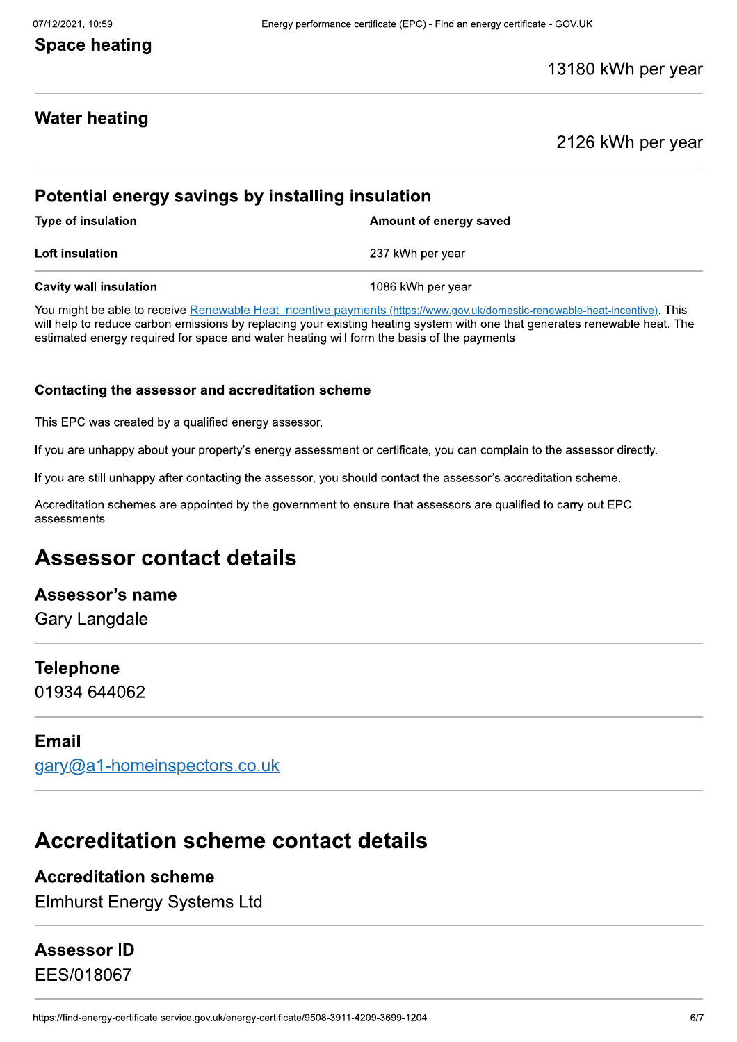#### **Space heating**

#### 13180 kWh per year

#### **Water heating**

#### 2126 kWh per year

#### Potential energy savings by installing insulation

Type of insulation Type of insulation and the control of energy saved

**Loft insulation EXEC 237 kWh per vear** 

**Potential energy savings by installing insulation**<br>Type of insulation and a Amount of energy s<br>Loft insulation and an amount of energy standard and the able to receive Renewable Heat Incentive payments (https://www.gov.ul You might be able to receive Renewable Heat Incentive payments (https://www.gov.uk/domestic-renewable-heat-incentive). This Amount of energy saved<br>
237 kWh per year<br>
1086 kWh per year<br>
ments (https://www.gov.uk/domestic-renewalt<br>
mg heating system with one that generate<br>
orm the basis of the payments.<br> **me** Type of insulation<br> **Loft insulation**<br> **Cavity wall insulation**<br>
You might be able to receive Renewable Heat Incentive payments (https://www.gov.uk/domestic-renewable-heat-incentive). This<br>
will help to reduce carbon emiss

This EPC was created by a qualified energy assessor.

If you are unhappy about your property's energy assessment or certificate, you can complain to the assessor directly.

**Contacting the assessor and accreditation scheme**<br>This EPC was created by a qualified energy assessor.<br>If you are still unhappy after contacting the assessor, you should contact the assessor's accreditation scheme.<br>Accred Accreditation schemes are appointed by the government to ensure that assessors are qualified to carry out EPC assessments.

# Assessor contact details

#### Assessor's name

**Gary Langdale** 

#### **Telephone**

01934 644062

#### Email

gary@a1-homeinspectors.co.uk

# Accreditation scheme contact details

#### **Accreditation scheme**

Elmhurst Energy Systems Ltd

#### Assessor ID

EES/018067